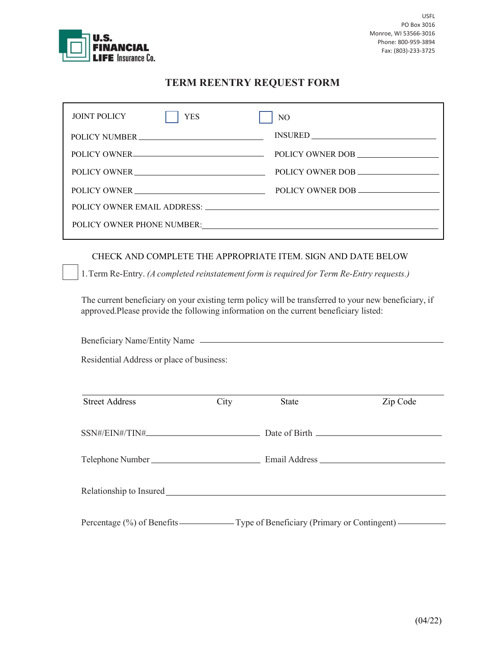

## TERM REENTRY REQUEST FORM

| <b>JOINT POLICY</b>         | <b>YES</b>   | N <sub>O</sub>   |  |  |  |
|-----------------------------|--------------|------------------|--|--|--|
|                             |              |                  |  |  |  |
|                             | POLICY OWNER | POLICY OWNER DOB |  |  |  |
|                             | POLICY OWNER | POLICY OWNER DOB |  |  |  |
|                             | POLICY OWNER | POLICY OWNER DOB |  |  |  |
| POLICY OWNER EMAIL ADDRESS: |              |                  |  |  |  |
| POLICY OWNER PHONE NUMBER:  |              |                  |  |  |  |
|                             |              |                  |  |  |  |

## CHECK AND COMPLETE THE APPROPRIATE ITEM. SIGN AND DATE BELOW

1.Term Re-Entry. (A completed reinstatement form is required for Term Re-Entry requests.)

The current beneficiary on your existing term policy will be transferred to your new beneficiary, if approved. Please provide the following information on the current beneficiary listed:

| <b>Street Address</b> | City | <b>State</b> | Zip Code |
|-----------------------|------|--------------|----------|
|                       |      |              |          |
|                       |      |              |          |